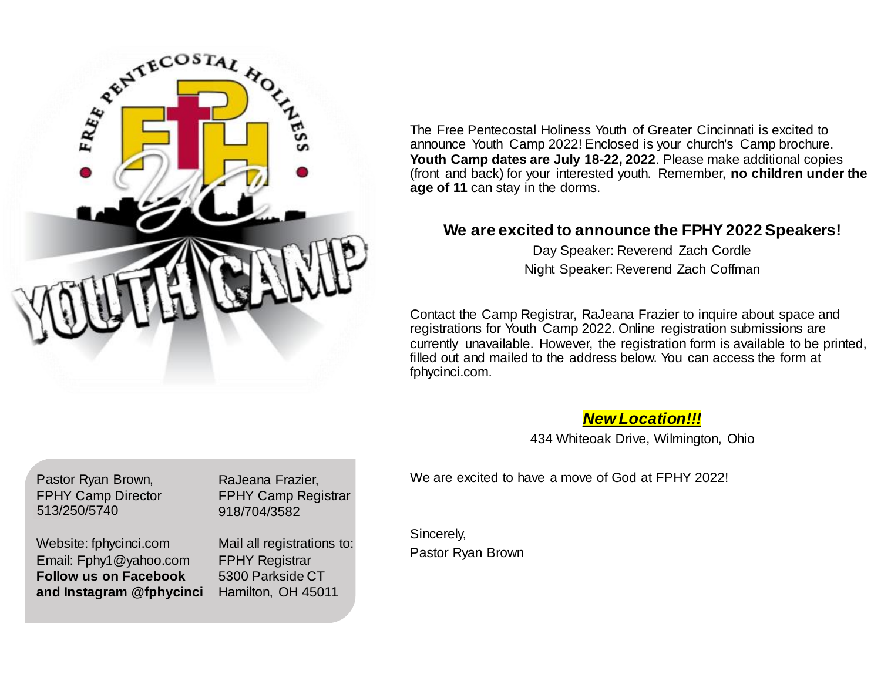

The Free Pentecostal Holiness Youth of Greater Cincinnati is excited to announce Youth Camp 2022! Enclosed is your church's Camp brochure. **Youth Camp dates are July 18-22, 2022**. Please make additional copies (front and back) for your interested youth. Remember, **no children under the age of 11** can stay in the dorms.

## **We are excited to announce the FPHY 2022 Speakers!**

Day Speaker: Reverend Zach Cordle Night Speaker: Reverend Zach Coffman

Contact the Camp Registrar, RaJeana Frazier to inquire about space and registrations for Youth Camp 2022. Online registration submissions are currently unavailable. However, the registration form is available to be printed, filled out and mailed to the address below. You can access the form at fphycinci.com.

*New Location!!!*

434 Whiteoak Drive, Wilmington, Ohio

Pastor Ryan Brown, FPHY Camp Director 513/250/570 513/250/5740

Website: fphycinci.com Email: Fphy1@yahoo.com **Follow us on Facebook and Instagram @fphycinci** RaJeana Frazier, FPHY Camp Registrar 918/704/3582

Mail all registrations to: FPHY Registrar 5300 Parkside CT Hamilton, OH 45011

We are excited to have a move of God at FPHY 2022!

Sincerely, Pastor Ryan Brown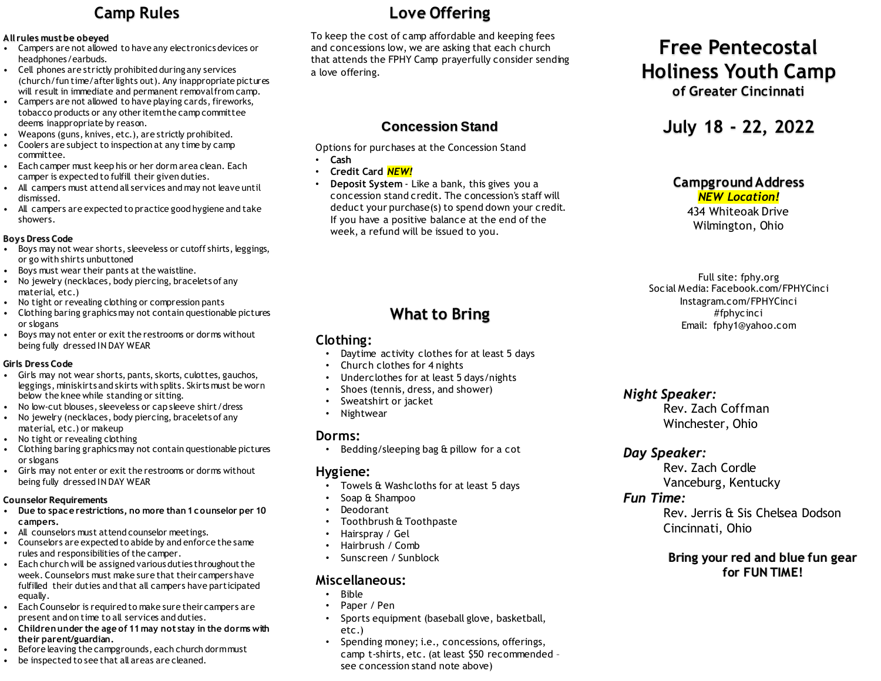# **Camp Rules**

#### **All rules must be obeyed**

- Campers are not allowed to have any electronics devices or headphones/earbuds.
- Cell phones are strictly prohibited during any services (church/fun time/after lights out). Any inappropriate pictures will result in immediate and permanent removal from camp.
- Campers are not allowed to have playing cards, fireworks, tobacco products or any other item the camp committee deems inappropriate by reason.
- Weapons (guns, knives, etc.), are strictly prohibited.
- Coolers are subject to inspection at any time by camp committee.
- Each camper must keep his or her dorm area clean. Each camper is expected to fulfill their given duties.
- All campers must attend all services and may not leave until dismissed.
- All campers are expected to practice good hygiene and take showers.

#### **Boys Dress Code**

- Boys may not wear shorts, sleeveless or cutoff shirts, leggings, or go with shirts unbuttoned
- Boys must wear their pants at the waistline.
- No jewelry (necklaces, body piercing, bracelets of any material, etc.)
- No tight or revealing clothing or compression pants
- Clothing baring graphics may not contain questionable pictures or slogans
- Boys may not enter or exit the restrooms or dorms without being fully dressed IN DAY WEAR

#### **Girls Dress Code**

- Girls may not wear shorts, pants, skorts, culottes, gauchos, leggings, miniskirts and skirts with splits. Skirts must be worn below the knee while standing or sitting.
- No low-cut blouses, sleeveless or cap sleeve shirt/dress
- No jewelry (necklaces, body piercing, bracelets of any material, etc.) or makeup
- No tight or revealing clothing
- Clothing baring graphics may not contain questionable pictures or slogans
- Girls may not enter or exit the restrooms or dorms without being fully dressed IN DAY WEAR

#### **Counselor Requirements**

- **Due to space restrictions, no more than 1 counselor per 10 campers.**
- All counselors must attend counselor meetings.
- Counselors are expected to abide by and enforce the same rules and responsibilities of the camper.
- Each church will be assigned various duties throughout the week. Counselors must make sure that their campers have fulfilled their duties and that all campers have participated equally.
- Each Counselor is required to make sure their campers are present and on time to all services and duties.
- **Children under the age of 11 may not stay in the dorms with their parent/guardian.**
- Before leaving the campgrounds, each church dorm must
- be inspected to see that all areas are cleaned.

# **Love Offering**

To keep the cost of camp affordable and keeping fees and concessions low, we are asking that each church that attends the FPHY Camp prayerfully consider sending a love offering.

## **Concession Stand**

Options for purchases at the Concession Stand

- **Cash**
- **Credit Card** *NEW!*
- **Deposit System**  Like a bank, this gives you a concession stand credit. The concession's staff will deduct your purchase(s) to spend down your credit. If you have a positive balance at the end of the week, a refund will be issued to you.

# **What to Bring**

### **Clothing:**

- Davtime activity clothes for at least 5 days
- Church clothes for 4 nights
- Underclothes for at least 5 days/nights
- Shoes (tennis, dress, and shower)
- Sweatshirt or jacket
- **Nightwear**

## **Dorms:**

• Bedding/sleeping bag & pillow for a cot

### **Hygiene:**

- Towels & Washcloths for at least 5 days
- Soap & Shampoo
- Deodorant
- Toothbrush & Toothpaste
- Hairspray / Gel
- Hairbrush / Comb
- Sunscreen / Sunblock

## **Miscellaneous:**

- Bible
- Paper / Pen
- Sports equipment (baseball glove, basketball, etc.)
- Spending money; i.e., concessions, offerings, camp t-shirts, etc. (at least \$50 recommended – see concession stand note above)

# **Free Pentecostal Holiness Youth Camp**

**of Greater Cincinnati**

# **July 18 - 22, 2022**

## **Campground Address**

*NEW Location!* 434 Whiteoak Drive Wilmington, Ohio

Full site: fphy.org Social Media: Facebook.com/FPHYCinci Instagram.com/FPHYCinci #fphycinci Email: fphy1@yahoo.com

## *Night Speaker:*

Rev. Zach Coffman Winchester, Ohio

## *Day Speaker:*

Rev. Zach Cordle Vanceburg, Kentucky

### *Fun Time:*

Rev. Jerris & Sis Chelsea Dodson Cincinnati, Ohio

### **Bring your red and blue fun gear for FUN TIME!**